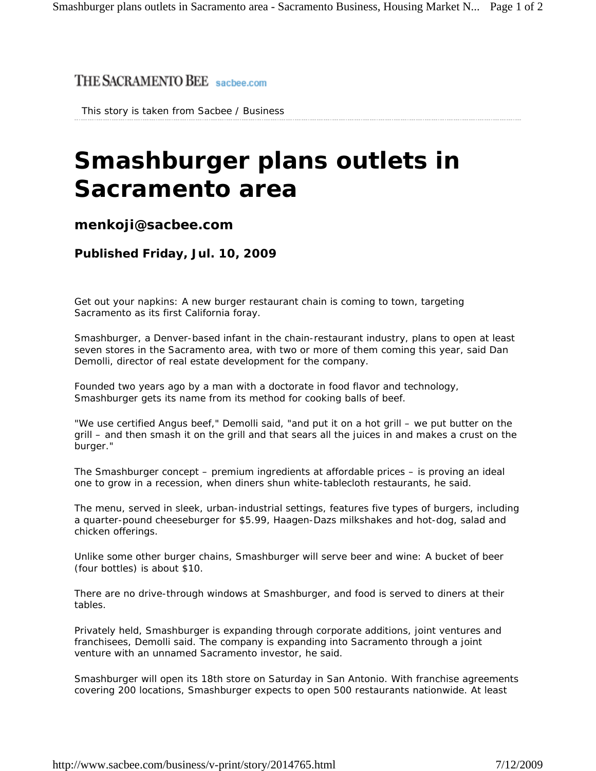## THE SACRAMENTO BEE sacbee.com

This story is taken from Sacbee / Business

## **Smashburger plans outlets in Sacramento area**

## **menkoji@sacbee.com**

**Published Friday, Jul. 10, 2009** 

Get out your napkins: A new burger restaurant chain is coming to town, targeting Sacramento as its first California foray.

Smashburger, a Denver-based infant in the chain-restaurant industry, plans to open at least seven stores in the Sacramento area, with two or more of them coming this year, said Dan Demolli, director of real estate development for the company.

Founded two years ago by a man with a doctorate in food flavor and technology, Smashburger gets its name from its method for cooking balls of beef.

"We use certified Angus beef," Demolli said, "and put it on a hot grill – we put butter on the grill – and then smash it on the grill and that sears all the juices in and makes a crust on the burger."

The Smashburger concept – premium ingredients at affordable prices – is proving an ideal one to grow in a recession, when diners shun white-tablecloth restaurants, he said.

The menu, served in sleek, urban-industrial settings, features five types of burgers, including a quarter-pound cheeseburger for \$5.99, Haagen-Dazs milkshakes and hot-dog, salad and chicken offerings.

Unlike some other burger chains, Smashburger will serve beer and wine: A bucket of beer (four bottles) is about \$10.

There are no drive-through windows at Smashburger, and food is served to diners at their tables.

Privately held, Smashburger is expanding through corporate additions, joint ventures and franchisees, Demolli said. The company is expanding into Sacramento through a joint venture with an unnamed Sacramento investor, he said.

Smashburger will open its 18th store on Saturday in San Antonio. With franchise agreements covering 200 locations, Smashburger expects to open 500 restaurants nationwide. At least